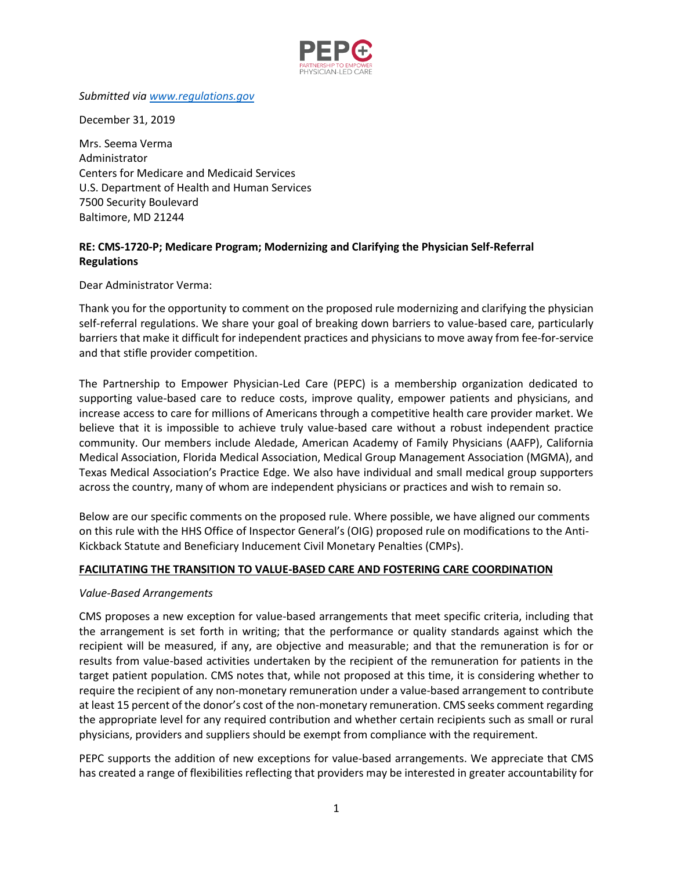

#### *Submitted via [www.regulations.gov](http://www.regulations.gov/)*

December 31, 2019

Mrs. Seema Verma Administrator Centers for Medicare and Medicaid Services U.S. Department of Health and Human Services 7500 Security Boulevard Baltimore, MD 21244

# **RE: CMS-1720-P; Medicare Program; Modernizing and Clarifying the Physician Self-Referral Regulations**

Dear Administrator Verma:

Thank you for the opportunity to comment on the proposed rule modernizing and clarifying the physician self-referral regulations. We share your goal of breaking down barriers to value-based care, particularly barriers that make it difficult for independent practices and physicians to move away from fee-for-service and that stifle provider competition.

The Partnership to Empower Physician-Led Care (PEPC) is a membership organization dedicated to supporting value-based care to reduce costs, improve quality, empower patients and physicians, and increase access to care for millions of Americans through a competitive health care provider market. We believe that it is impossible to achieve truly value-based care without a robust independent practice community. Our members include Aledade, American Academy of Family Physicians (AAFP), California Medical Association, Florida Medical Association, Medical Group Management Association (MGMA), and Texas Medical Association's Practice Edge. We also have individual and small medical group supporters across the country, many of whom are independent physicians or practices and wish to remain so.

Below are our specific comments on the proposed rule. Where possible, we have aligned our comments on this rule with the HHS Office of Inspector General's (OIG) proposed rule on modifications to the Anti-Kickback Statute and Beneficiary Inducement Civil Monetary Penalties (CMPs).

## **FACILITATING THE TRANSITION TO VALUE-BASED CARE AND FOSTERING CARE COORDINATION**

#### *Value-Based Arrangements*

CMS proposes a new exception for value-based arrangements that meet specific criteria, including that the arrangement is set forth in writing; that the performance or quality standards against which the recipient will be measured, if any, are objective and measurable; and that the remuneration is for or results from value-based activities undertaken by the recipient of the remuneration for patients in the target patient population. CMS notes that, while not proposed at this time, it is considering whether to require the recipient of any non-monetary remuneration under a value-based arrangement to contribute at least 15 percent of the donor's cost of the non-monetary remuneration. CMS seeks comment regarding the appropriate level for any required contribution and whether certain recipients such as small or rural physicians, providers and suppliers should be exempt from compliance with the requirement.

PEPC supports the addition of new exceptions for value-based arrangements. We appreciate that CMS has created a range of flexibilities reflecting that providers may be interested in greater accountability for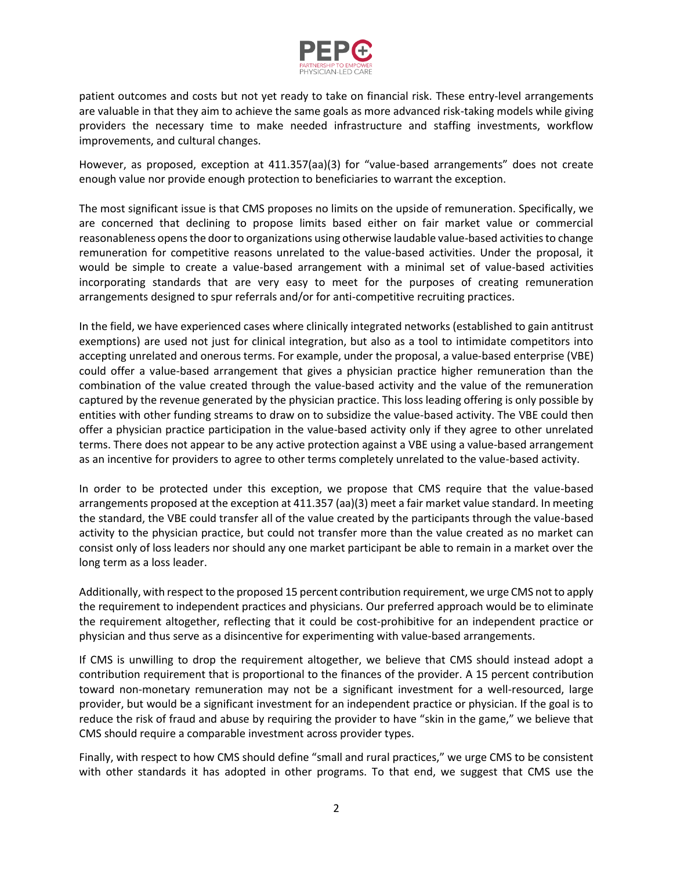

patient outcomes and costs but not yet ready to take on financial risk. These entry-level arrangements are valuable in that they aim to achieve the same goals as more advanced risk-taking models while giving providers the necessary time to make needed infrastructure and staffing investments, workflow improvements, and cultural changes.

However, as proposed, exception at 411.357(aa)(3) for "value-based arrangements" does not create enough value nor provide enough protection to beneficiaries to warrant the exception.

The most significant issue is that CMS proposes no limits on the upside of remuneration. Specifically, we are concerned that declining to propose limits based either on fair market value or commercial reasonableness opens the door to organizations using otherwise laudable value-based activities to change remuneration for competitive reasons unrelated to the value-based activities. Under the proposal, it would be simple to create a value-based arrangement with a minimal set of value-based activities incorporating standards that are very easy to meet for the purposes of creating remuneration arrangements designed to spur referrals and/or for anti-competitive recruiting practices.

In the field, we have experienced cases where clinically integrated networks (established to gain antitrust exemptions) are used not just for clinical integration, but also as a tool to intimidate competitors into accepting unrelated and onerous terms. For example, under the proposal, a value-based enterprise (VBE) could offer a value-based arrangement that gives a physician practice higher remuneration than the combination of the value created through the value-based activity and the value of the remuneration captured by the revenue generated by the physician practice. This loss leading offering is only possible by entities with other funding streams to draw on to subsidize the value-based activity. The VBE could then offer a physician practice participation in the value-based activity only if they agree to other unrelated terms. There does not appear to be any active protection against a VBE using a value-based arrangement as an incentive for providers to agree to other terms completely unrelated to the value-based activity.

In order to be protected under this exception, we propose that CMS require that the value-based arrangements proposed at the exception at 411.357 (aa)(3) meet a fair market value standard. In meeting the standard, the VBE could transfer all of the value created by the participants through the value-based activity to the physician practice, but could not transfer more than the value created as no market can consist only of loss leaders nor should any one market participant be able to remain in a market over the long term as a loss leader.

Additionally, with respect to the proposed 15 percent contribution requirement, we urge CMS not to apply the requirement to independent practices and physicians. Our preferred approach would be to eliminate the requirement altogether, reflecting that it could be cost-prohibitive for an independent practice or physician and thus serve as a disincentive for experimenting with value-based arrangements.

If CMS is unwilling to drop the requirement altogether, we believe that CMS should instead adopt a contribution requirement that is proportional to the finances of the provider. A 15 percent contribution toward non-monetary remuneration may not be a significant investment for a well-resourced, large provider, but would be a significant investment for an independent practice or physician. If the goal is to reduce the risk of fraud and abuse by requiring the provider to have "skin in the game," we believe that CMS should require a comparable investment across provider types.

Finally, with respect to how CMS should define "small and rural practices," we urge CMS to be consistent with other standards it has adopted in other programs. To that end, we suggest that CMS use the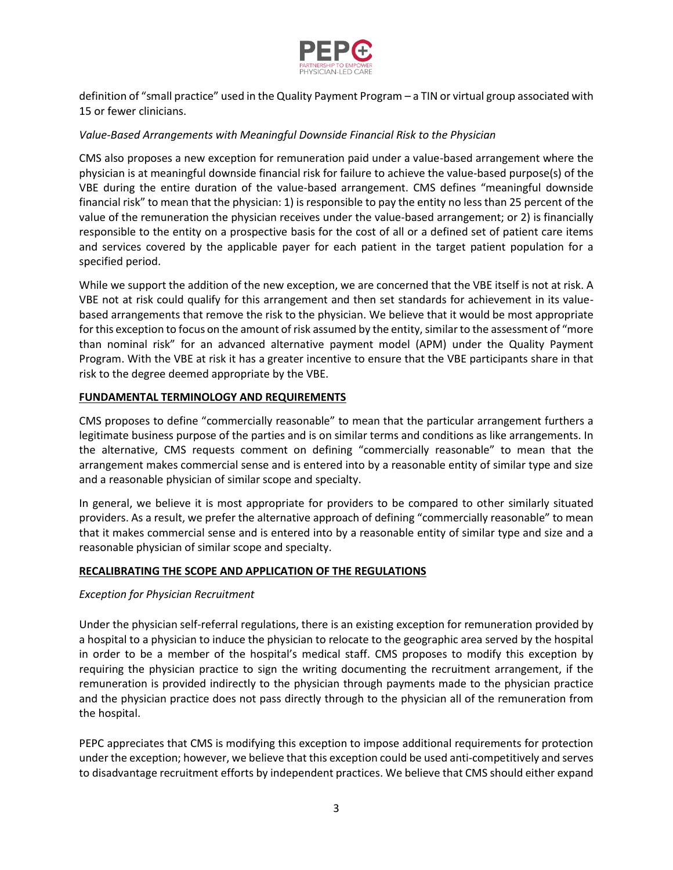

definition of "small practice" used in the Quality Payment Program – a TIN or virtual group associated with 15 or fewer clinicians.

## *Value-Based Arrangements with Meaningful Downside Financial Risk to the Physician*

CMS also proposes a new exception for remuneration paid under a value-based arrangement where the physician is at meaningful downside financial risk for failure to achieve the value-based purpose(s) of the VBE during the entire duration of the value-based arrangement. CMS defines "meaningful downside financial risk" to mean that the physician: 1) is responsible to pay the entity no less than 25 percent of the value of the remuneration the physician receives under the value-based arrangement; or 2) is financially responsible to the entity on a prospective basis for the cost of all or a defined set of patient care items and services covered by the applicable payer for each patient in the target patient population for a specified period.

While we support the addition of the new exception, we are concerned that the VBE itself is not at risk. A VBE not at risk could qualify for this arrangement and then set standards for achievement in its valuebased arrangements that remove the risk to the physician. We believe that it would be most appropriate for this exception to focus on the amount of risk assumed by the entity, similar to the assessment of "more than nominal risk" for an advanced alternative payment model (APM) under the Quality Payment Program. With the VBE at risk it has a greater incentive to ensure that the VBE participants share in that risk to the degree deemed appropriate by the VBE.

# **FUNDAMENTAL TERMINOLOGY AND REQUIREMENTS**

CMS proposes to define "commercially reasonable" to mean that the particular arrangement furthers a legitimate business purpose of the parties and is on similar terms and conditions as like arrangements. In the alternative, CMS requests comment on defining "commercially reasonable" to mean that the arrangement makes commercial sense and is entered into by a reasonable entity of similar type and size and a reasonable physician of similar scope and specialty.

In general, we believe it is most appropriate for providers to be compared to other similarly situated providers. As a result, we prefer the alternative approach of defining "commercially reasonable" to mean that it makes commercial sense and is entered into by a reasonable entity of similar type and size and a reasonable physician of similar scope and specialty.

## **RECALIBRATING THE SCOPE AND APPLICATION OF THE REGULATIONS**

## *Exception for Physician Recruitment*

Under the physician self-referral regulations, there is an existing exception for remuneration provided by a hospital to a physician to induce the physician to relocate to the geographic area served by the hospital in order to be a member of the hospital's medical staff. CMS proposes to modify this exception by requiring the physician practice to sign the writing documenting the recruitment arrangement, if the remuneration is provided indirectly to the physician through payments made to the physician practice and the physician practice does not pass directly through to the physician all of the remuneration from the hospital.

PEPC appreciates that CMS is modifying this exception to impose additional requirements for protection under the exception; however, we believe that this exception could be used anti-competitively and serves to disadvantage recruitment efforts by independent practices. We believe that CMS should either expand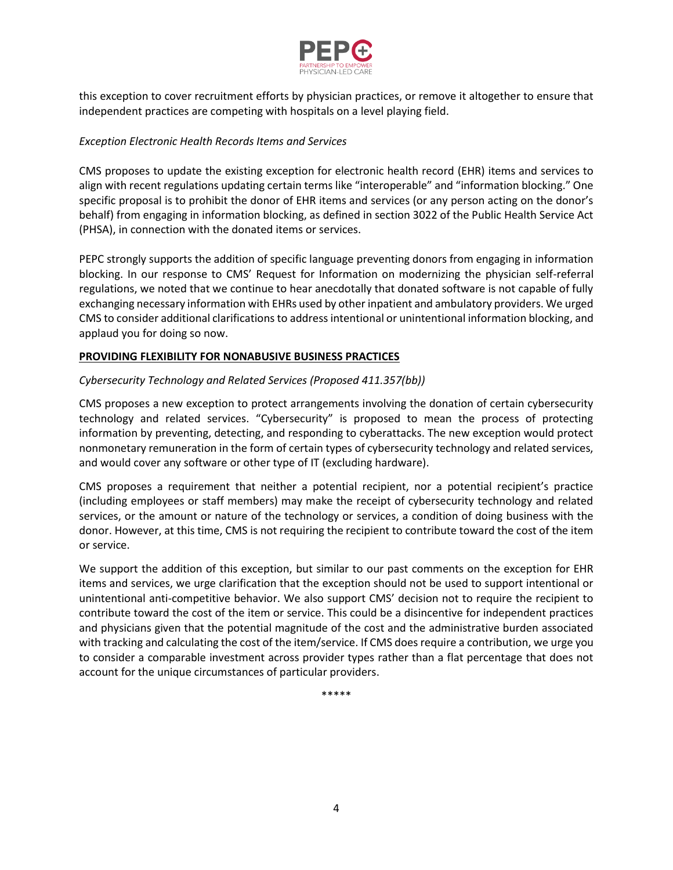

this exception to cover recruitment efforts by physician practices, or remove it altogether to ensure that independent practices are competing with hospitals on a level playing field.

#### *Exception Electronic Health Records Items and Services*

CMS proposes to update the existing exception for electronic health record (EHR) items and services to align with recent regulations updating certain terms like "interoperable" and "information blocking." One specific proposal is to prohibit the donor of EHR items and services (or any person acting on the donor's behalf) from engaging in information blocking, as defined in section 3022 of the Public Health Service Act (PHSA), in connection with the donated items or services.

PEPC strongly supports the addition of specific language preventing donors from engaging in information blocking. In our response to CMS' Request for Information on modernizing the physician self-referral regulations, we noted that we continue to hear anecdotally that donated software is not capable of fully exchanging necessary information with EHRs used by other inpatient and ambulatory providers. We urged CMS to consider additional clarifications to address intentional or unintentional information blocking, and applaud you for doing so now.

## **PROVIDING FLEXIBILITY FOR NONABUSIVE BUSINESS PRACTICES**

#### *Cybersecurity Technology and Related Services (Proposed 411.357(bb))*

CMS proposes a new exception to protect arrangements involving the donation of certain cybersecurity technology and related services. "Cybersecurity" is proposed to mean the process of protecting information by preventing, detecting, and responding to cyberattacks. The new exception would protect nonmonetary remuneration in the form of certain types of cybersecurity technology and related services, and would cover any software or other type of IT (excluding hardware).

CMS proposes a requirement that neither a potential recipient, nor a potential recipient's practice (including employees or staff members) may make the receipt of cybersecurity technology and related services, or the amount or nature of the technology or services, a condition of doing business with the donor. However, at this time, CMS is not requiring the recipient to contribute toward the cost of the item or service.

We support the addition of this exception, but similar to our past comments on the exception for EHR items and services, we urge clarification that the exception should not be used to support intentional or unintentional anti-competitive behavior. We also support CMS' decision not to require the recipient to contribute toward the cost of the item or service. This could be a disincentive for independent practices and physicians given that the potential magnitude of the cost and the administrative burden associated with tracking and calculating the cost of the item/service. If CMS does require a contribution, we urge you to consider a comparable investment across provider types rather than a flat percentage that does not account for the unique circumstances of particular providers.

\*\*\*\*\*